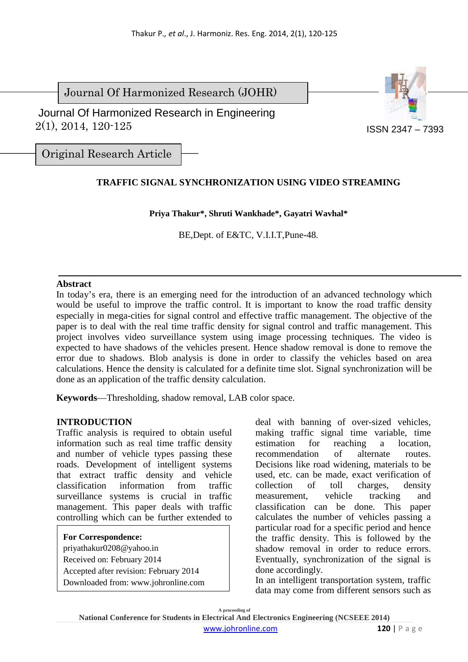Journal Of Harmonized Research (JOHR)

 2(1), 2014, 120-125 Journal Of Harmonized Research in Engineering



Original Research Article

# **TRAFFIC SIGNAL SYNCHRONIZATION USING VIDEO STREAMING**

## **Priya Thakur\*, Shruti Wankhade\*, Gayatri Wavhal\***

BE,Dept. of E&TC*,* V.I.I.T,Pune-48.

## **Abstract**

In today's era, there is an emerging need for the introduction of an advanced technology which would be useful to improve the traffic control. It is important to know the road traffic density especially in mega-cities for signal control and effective traffic management. The objective of the paper is to deal with the real time traffic density for signal control and traffic management. This project involves video surveillance system using image processing techniques. The video is expected to have shadows of the vehicles present. Hence shadow removal is done to remove the error due to shadows. Blob analysis is done in order to classify the vehicles based on area calculations. Hence the density is calculated for a definite time slot. Signal synchronization will be done as an application of the traffic density calculation.

**Keywords**—Thresholding, shadow removal, LAB color space.

## **INTRODUCTION**

Traffic analysis is required to obtain useful information such as real time traffic density and number of vehicle types passing these roads. Development of intelligent systems that extract traffic density and vehicle classification information from traffic surveillance systems is crucial in traffic management. This paper deals with traffic controlling which can be further extended to

**For Correspondence:** priyathakur0208@yahoo.in Received on: February 2014 Accepted after revision: February 2014 Downloaded from: www.johronline.com deal with banning of over-sized vehicles, making traffic signal time variable, time estimation for reaching a location, recommendation of alternate routes. Decisions like road widening, materials to be used, etc. can be made, exact verification of collection of toll charges, density measurement, vehicle tracking and classification can be done. This paper calculates the number of vehicles passing a particular road for a specific period and hence the traffic density. This is followed by the shadow removal in order to reduce errors. Eventually, synchronization of the signal is done accordingly.

In an intelligent transportation system, traffic data may come from different sensors such as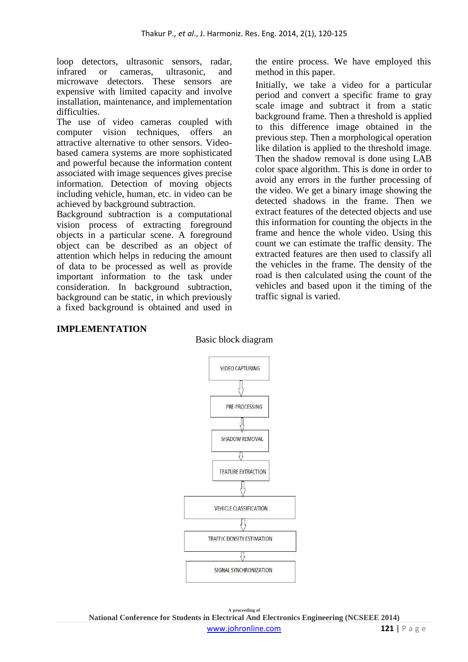loop detectors, ultrasonic sensors, radar, infrared or cameras, ultrasonic, and microwave detectors. These sensors are expensive with limited capacity and involve installation, maintenance, and implementation difficulties.

The use of video cameras coupled with computer vision techniques, offers an attractive alternative to other sensors. Videobased camera systems are more sophisticated and powerful because the information content associated with image sequences gives precise information. Detection of moving objects including vehicle, human, etc. in video can be achieved by background subtraction.

Background subtraction is a computational vision process of extracting foreground objects in a particular scene. A foreground object can be described as an object of attention which helps in reducing the amount of data to be processed as well as provide important information to the task under consideration. In background subtraction, background can be static, in which previously a fixed background is obtained and used in

the entire process. We have employed this method in this paper.

Initially, we take a video for a particular period and convert a specific frame to gray scale image and subtract it from a static background frame. Then a threshold is applied to this difference image obtained in the previous step. Then a morphological operation like dilation is applied to the threshold image. Then the shadow removal is done using LAB color space algorithm. This is done in order to avoid any errors in the further processing of the video. We get a binary image showing the detected shadows in the frame. Then we extract features of the detected objects and use this information for counting the objects in the frame and hence the whole video. Using this count we can estimate the traffic density. The extracted features are then used to classify all the vehicles in the frame. The density of the road is then calculated using the count of the vehicles and based upon it the timing of the traffic signal is varied.

## **IMPLEMENTATION**

#### Basic block diagram



**A proceeding of National Conference for Students in Electrical And Electronics Engineering (NCSEEE 2014)**  www.johronline.com **121** | P a g e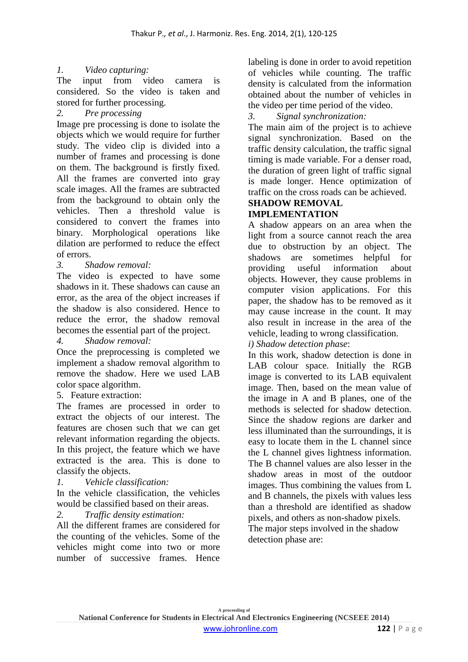# *1. Video capturing:*

The input from video camera is considered. So the video is taken and stored for further processing.

*2. Pre processing* 

Image pre processing is done to isolate the objects which we would require for further study. The video clip is divided into a number of frames and processing is done on them. The background is firstly fixed. All the frames are converted into gray scale images. All the frames are subtracted from the background to obtain only the vehicles. Then a threshold value is considered to convert the frames into binary. Morphological operations like dilation are performed to reduce the effect of errors.

*3. Shadow removal:* 

The video is expected to have some shadows in it. These shadows can cause an error, as the area of the object increases if the shadow is also considered. Hence to reduce the error, the shadow removal becomes the essential part of the project.

*4. Shadow removal:* 

Once the preprocessing is completed we implement a shadow removal algorithm to remove the shadow. Here we used LAB color space algorithm.

5. Feature extraction:

The frames are processed in order to extract the objects of our interest. The features are chosen such that we can get relevant information regarding the objects. In this project, the feature which we have extracted is the area. This is done to classify the objects.

*1. Vehicle classification:* 

In the vehicle classification, the vehicles would be classified based on their areas.

*2. Traffic density estimation:* 

All the different frames are considered for the counting of the vehicles. Some of the vehicles might come into two or more number of successive frames. Hence

labeling is done in order to avoid repetition of vehicles while counting. The traffic density is calculated from the information obtained about the number of vehicles in the video per time period of the video.

*3. Signal synchronization:* 

The main aim of the project is to achieve signal synchronization. Based on the traffic density calculation, the traffic signal timing is made variable. For a denser road, the duration of green light of traffic signal is made longer. Hence optimization of traffic on the cross roads can be achieved.

#### **SHADOW REMOVAL IMPLEMENTATION**

A shadow appears on an area when the light from a source cannot reach the area due to obstruction by an object. The shadows are sometimes helpful for providing useful information about objects. However, they cause problems in computer vision applications. For this paper, the shadow has to be removed as it may cause increase in the count. It may also result in increase in the area of the vehicle, leading to wrong classification.

*i) Shadow detection phase*:

In this work, shadow detection is done in LAB colour space. Initially the RGB image is converted to its LAB equivalent image. Then, based on the mean value of the image in A and B planes, one of the methods is selected for shadow detection. Since the shadow regions are darker and less illuminated than the surroundings, it is easy to locate them in the L channel since the L channel gives lightness information. The B channel values are also lesser in the shadow areas in most of the outdoor images. Thus combining the values from L and B channels, the pixels with values less than a threshold are identified as shadow pixels, and others as non-shadow pixels. The major steps involved in the shadow detection phase are: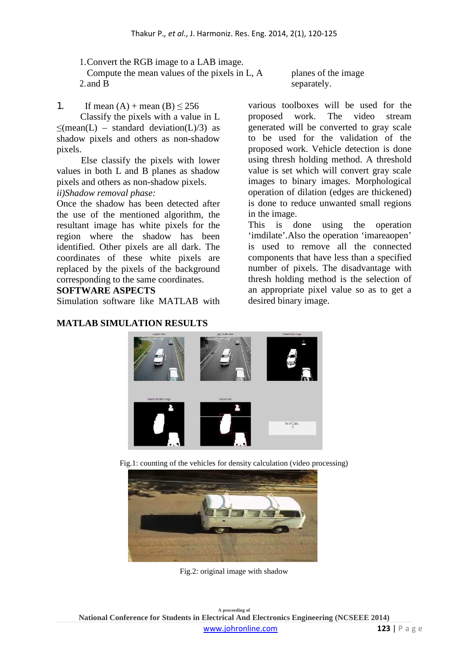1.Convert the RGB image to a LAB image. 2. and B Compute the mean values of the pixels in L, A

1. If mean  $(A)$  + mean  $(B) \le 256$ 

Classify the pixels with a value in L  $\leq$ (mean(L) – standard deviation(L)/3) as shadow pixels and others as non-shadow pixels.

Else classify the pixels with lower values in both L and B planes as shadow pixels and others as non-shadow pixels. *ii)Shadow removal phase:*

Once the shadow has been detected after the use of the mentioned algorithm, the resultant image has white pixels for the region where the shadow has been identified. Other pixels are all dark. The coordinates of these white pixels are replaced by the pixels of the background corresponding to the same coordinates.

## **SOFTWARE ASPECTS**

Simulation software like MATLAB with

## **MATLAB SIMULATION RESULTS**

planes of the image separately.

various toolboxes will be used for the proposed work. The video stream generated will be converted to gray scale to be used for the validation of the proposed work. Vehicle detection is done using thresh holding method. A threshold value is set which will convert gray scale images to binary images. Morphological operation of dilation (edges are thickened) is done to reduce unwanted small regions in the image.

This is done using the operation 'imdilate'.Also the operation 'imareaopen' is used to remove all the connected components that have less than a specified number of pixels. The disadvantage with thresh holding method is the selection of an appropriate pixel value so as to get a desired binary image.



Fig.1: counting of the vehicles for density calculation (video processing)



Fig.2: original image with shadow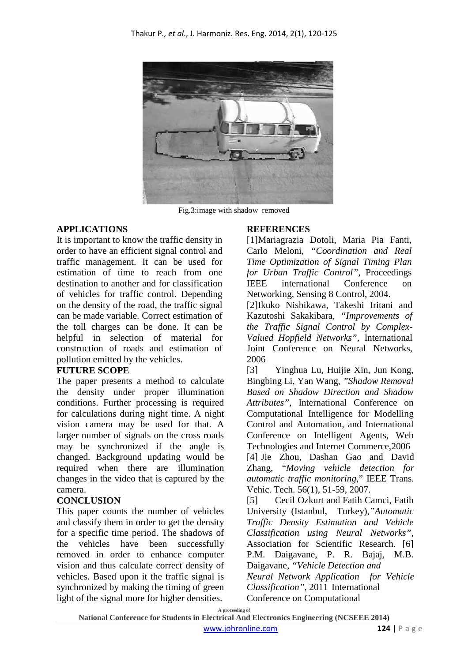

Fig.3:image with shadow removed

## **APPLICATIONS**

It is important to know the traffic density in order to have an efficient signal control and traffic management. It can be used for estimation of time to reach from one destination to another and for classification of vehicles for traffic control. Depending on the density of the road, the traffic signal can be made variable. Correct estimation of the toll charges can be done. It can be helpful in selection of material for construction of roads and estimation of pollution emitted by the vehicles.

## **FUTURE SCOPE**

The paper presents a method to calculate the density under proper illumination conditions. Further processing is required for calculations during night time. A night vision camera may be used for that. A larger number of signals on the cross roads may be synchronized if the angle is changed. Background updating would be required when there are illumination changes in the video that is captured by the camera.

## **CONCLUSION**

This paper counts the number of vehicles and classify them in order to get the density for a specific time period. The shadows of the vehicles have been successfully removed in order to enhance computer vision and thus calculate correct density of vehicles. Based upon it the traffic signal is synchronized by making the timing of green light of the signal more for higher densities.

## **REFERENCES**

[1]Mariagrazia Dotoli, Maria Pia Fanti, Carlo Meloni, *"Coordination and Real Time Optimization of Signal Timing Plan for Urban Traffic Control",* Proceedings IEEE international Conference on Networking, Sensing 8 Control, 2004.

[2]Ikuko Nishikawa, Takeshi Iritani and Kazutoshi Sakakibara, *"Improvements of the Traffic Signal Control by Complex-Valued Hopfield Networks",* International Joint Conference on Neural Networks, 2006

[3] Yinghua Lu, Huijie Xin, Jun Kong, Bingbing Li, Yan Wang, *"Shadow Removal Based on Shadow Direction and Shadow Attributes",* International Conference on Computational Intelligence for Modelling Control and Automation, and International Conference on Intelligent Agents, Web Technologies and Internet Commerce,2006 [4] Jie Zhou, Dashan Gao and David Zhang, "*Moving vehicle detection for automatic traffic monitoring*," IEEE Trans. Vehic. Tech. 56(1), 51-59, 2007.

[5] Cecil Ozkurt and Fatih Camci, Fatih University (Istanbul, Turkey),*"Automatic Traffic Density Estimation and Vehicle Classification using Neural Networks"*, Association for Scientific Research. [6] P.M. Daigavane, P. R. Bajaj, M.B. Daigavane, *"Vehicle Detection and Neural Network Application for Vehicle Classification",* 2011 International Conference on Computational

**A proceeding of**